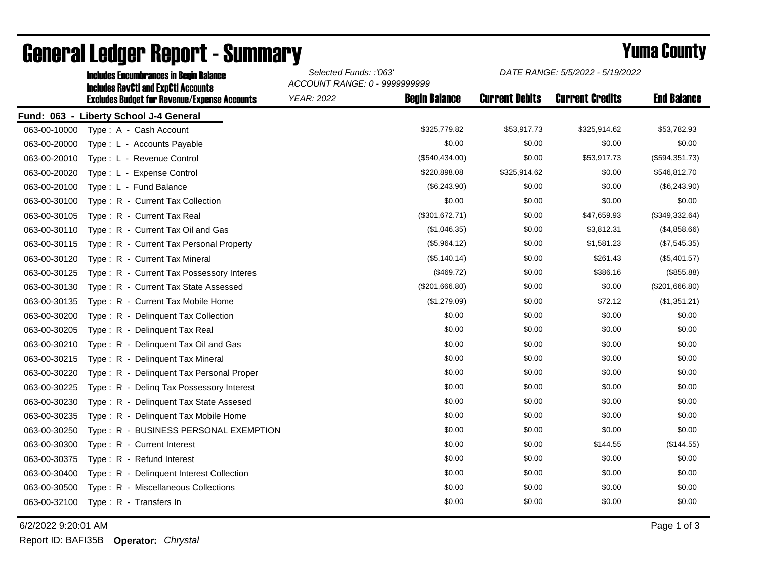|              | <b>Includes Encumbrances in Begin Balance</b><br><b>Includes RevCtI and ExpCtI Accounts</b> | Selected Funds: :'063'<br>ACCOUNT RANGE: 0 - 9999999999 |                      | DATE RANGE: 5/5/2022 - 5/19/2022 |                        |                    |
|--------------|---------------------------------------------------------------------------------------------|---------------------------------------------------------|----------------------|----------------------------------|------------------------|--------------------|
|              | <b>Excludes Budget for Revenue/Expense Accounts</b>                                         | <b>YEAR: 2022</b>                                       | <b>Begin Balance</b> | <b>Current Debits</b>            | <b>Current Credits</b> | <b>End Balance</b> |
|              | Fund: 063 - Liberty School J-4 General                                                      |                                                         |                      |                                  |                        |                    |
| 063-00-10000 | Type: A - Cash Account                                                                      |                                                         | \$325,779.82         | \$53,917.73                      | \$325,914.62           | \$53,782.93        |
| 063-00-20000 | Type: L - Accounts Payable                                                                  |                                                         | \$0.00               | \$0.00                           | \$0.00                 | \$0.00             |
| 063-00-20010 | Type: L - Revenue Control                                                                   |                                                         | (\$540,434.00)       | \$0.00                           | \$53,917.73            | (\$594,351.73)     |
| 063-00-20020 | Type: L - Expense Control                                                                   |                                                         | \$220,898.08         | \$325,914.62                     | \$0.00                 | \$546,812.70       |
| 063-00-20100 | Type: L - Fund Balance                                                                      |                                                         | (\$6,243.90)         | \$0.00                           | \$0.00                 | (\$6,243.90)       |
| 063-00-30100 | Type: R - Current Tax Collection                                                            |                                                         | \$0.00               | \$0.00                           | \$0.00                 | \$0.00             |
| 063-00-30105 | Type: R - Current Tax Real                                                                  |                                                         | (\$301,672.71)       | \$0.00                           | \$47,659.93            | (\$349,332.64)     |
| 063-00-30110 | Type: R - Current Tax Oil and Gas                                                           |                                                         | (\$1,046.35)         | \$0.00                           | \$3,812.31             | (\$4,858.66)       |
| 063-00-30115 | Type: R - Current Tax Personal Property                                                     |                                                         | (\$5,964.12)         | \$0.00                           | \$1,581.23             | (\$7,545.35)       |
| 063-00-30120 | Type: R - Current Tax Mineral                                                               |                                                         | (\$5,140.14)         | \$0.00                           | \$261.43               | (\$5,401.57)       |
| 063-00-30125 | Type: R - Current Tax Possessory Interes                                                    |                                                         | (\$469.72)           | \$0.00                           | \$386.16               | (\$855.88)         |
| 063-00-30130 | Type: R - Current Tax State Assessed                                                        |                                                         | (\$201,666.80)       | \$0.00                           | \$0.00                 | (\$201,666.80)     |
| 063-00-30135 | Type: R - Current Tax Mobile Home                                                           |                                                         | (\$1,279.09)         | \$0.00                           | \$72.12                | (\$1,351.21)       |
| 063-00-30200 | Type: R - Delinquent Tax Collection                                                         |                                                         | \$0.00               | \$0.00                           | \$0.00                 | \$0.00             |
| 063-00-30205 | Type: R - Delinquent Tax Real                                                               |                                                         | \$0.00               | \$0.00                           | \$0.00                 | \$0.00             |
| 063-00-30210 | Type: R - Delinguent Tax Oil and Gas                                                        |                                                         | \$0.00               | \$0.00                           | \$0.00                 | \$0.00             |
| 063-00-30215 | Type: R - Delinquent Tax Mineral                                                            |                                                         | \$0.00               | \$0.00                           | \$0.00                 | \$0.00             |
| 063-00-30220 | Type: R - Delinquent Tax Personal Proper                                                    |                                                         | \$0.00               | \$0.00                           | \$0.00                 | \$0.00             |
| 063-00-30225 | Type: R - Deling Tax Possessory Interest                                                    |                                                         | \$0.00               | \$0.00                           | \$0.00                 | \$0.00             |
| 063-00-30230 | Type: R - Delinquent Tax State Assesed                                                      |                                                         | \$0.00               | \$0.00                           | \$0.00                 | \$0.00             |
| 063-00-30235 | Type: R - Delinguent Tax Mobile Home                                                        |                                                         | \$0.00               | \$0.00                           | \$0.00                 | \$0.00             |
| 063-00-30250 | Type: R - BUSINESS PERSONAL EXEMPTION                                                       |                                                         | \$0.00               | \$0.00                           | \$0.00                 | \$0.00             |
| 063-00-30300 | Type: R - Current Interest                                                                  |                                                         | \$0.00               | \$0.00                           | \$144.55               | (\$144.55)         |
| 063-00-30375 | Type: R - Refund Interest                                                                   |                                                         | \$0.00               | \$0.00                           | \$0.00                 | \$0.00             |
| 063-00-30400 | Type: R - Delinquent Interest Collection                                                    |                                                         | \$0.00               | \$0.00                           | \$0.00                 | \$0.00             |
| 063-00-30500 | Type: R - Miscellaneous Collections                                                         |                                                         | \$0.00               | \$0.00                           | \$0.00                 | \$0.00             |
| 063-00-32100 | Type: R - Transfers In                                                                      |                                                         | \$0.00               | \$0.00                           | \$0.00                 | \$0.00             |

## General Ledger Report - Summary **Example 2018** Yuma County

6/2/2022 9:20:01 AM Page 1 of 3

Report ID: BAFI35B **Operator:** *Chrystal*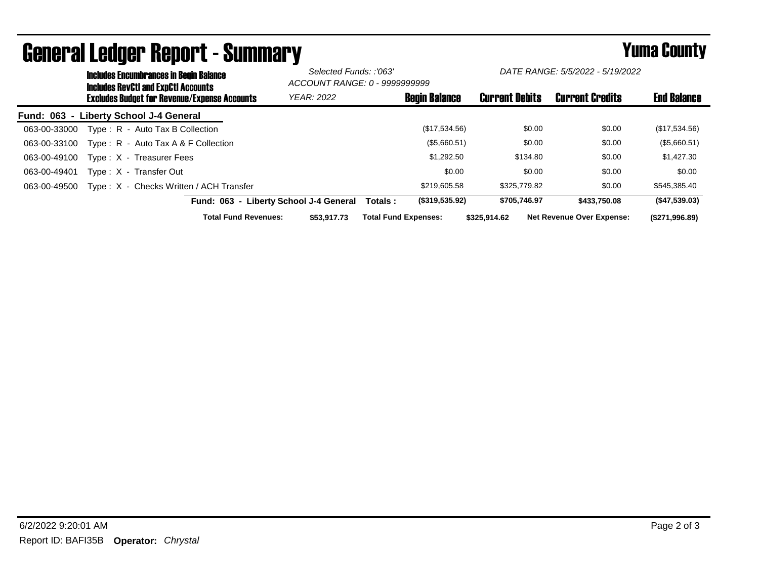|                                        | <b>Includes Encumbrances in Begin Balance</b><br><b>Includes RevCtI and ExpCtI Accounts</b> |                                                     |                             | Selected Funds: :'063'<br>ACCOUNT RANGE: 0 - 99999999999 |                             | DATE RANGE: 5/5/2022 - 5/19/2022 |                       |          |                                  |                    |
|----------------------------------------|---------------------------------------------------------------------------------------------|-----------------------------------------------------|-----------------------------|----------------------------------------------------------|-----------------------------|----------------------------------|-----------------------|----------|----------------------------------|--------------------|
|                                        |                                                                                             | <b>Excludes Budget for Revenue/Expense Accounts</b> |                             | <b>YEAR: 2022</b>                                        |                             | <b>Begin Balance</b>             | <b>Current Debits</b> |          | <b>Current Credits</b>           | <b>End Balance</b> |
| Fund: 063 - Liberty School J-4 General |                                                                                             |                                                     |                             |                                                          |                             |                                  |                       |          |                                  |                    |
| 063-00-33000                           |                                                                                             | Type: R - Auto Tax B Collection                     |                             |                                                          |                             | (\$17,534.56)                    |                       | \$0.00   | \$0.00                           | (\$17,534.56)      |
| 063-00-33100                           |                                                                                             | Type: $R -$ Auto Tax A & F Collection               |                             |                                                          |                             | (\$5,660.51)                     |                       | \$0.00   | \$0.00                           | (\$5,660.51)       |
| 063-00-49100                           |                                                                                             | Type: X - Treasurer Fees                            |                             |                                                          |                             | \$1.292.50                       |                       | \$134.80 | \$0.00                           | \$1,427.30         |
| 063-00-49401                           |                                                                                             | Type: X - Transfer Out                              |                             |                                                          |                             | \$0.00                           |                       | \$0.00   | \$0.00                           | \$0.00             |
| 063-00-49500                           |                                                                                             | Type: X - Checks Written / ACH Transfer             |                             |                                                          |                             | \$219,605.58                     | \$325,779.82          |          | \$0.00                           | \$545,385.40       |
|                                        |                                                                                             |                                                     |                             | Fund: 063 - Liberty School J-4 General                   | Totals :                    | (\$319,535.92)                   | \$705.746.97          |          | \$433,750,08                     | (\$47,539.03)      |
|                                        |                                                                                             |                                                     | <b>Total Fund Revenues:</b> | \$53,917.73                                              | <b>Total Fund Expenses:</b> |                                  | \$325.914.62          |          | <b>Net Revenue Over Expense:</b> | (\$271,996.89)     |

## General Ledger Report - Summary **Example 2018** Yuma County